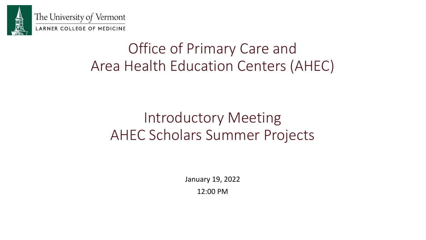

# Office of Primary Care and Area Health Education Centers (AHEC)

# Introductory Meeting AHEC Scholars Summer Projects

January 19, 2022

12:00 PM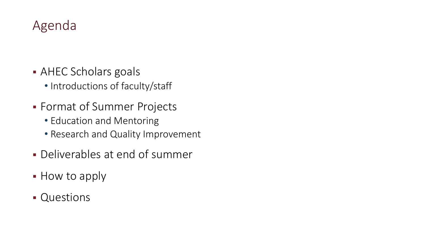### Agenda

- AHEC Scholars goals
	- Introductions of faculty/staff
- Format of Summer Projects
	- Education and Mentoring
	- Research and Quality Improvement
- Deliverables at end of summer
- How to apply
- Questions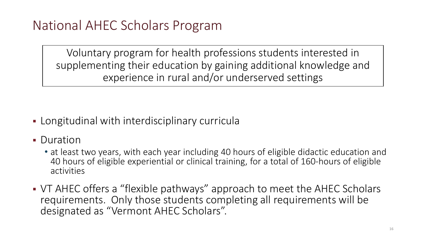Voluntary program for health professions students interested in supplementing their education by gaining additional knowledge and experience in rural and/or underserved settings

- Longitudinal with interdisciplinary curricula
- **Duration** 
	- at least two years, with each year including 40 hours of eligible didactic education and 40 hours of eligible experiential or clinical training, for a total of 160-hours of eligible activities
- VT AHEC offers a "flexible pathways" approach to meet the AHEC Scholars requirements. Only those students completing all requirements will be designated as "Vermont AHEC Scholars".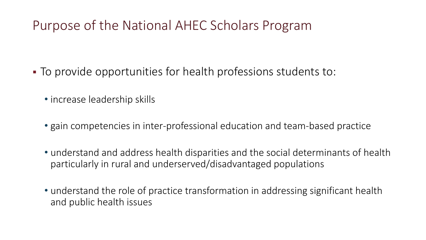### Purpose of the National AHEC Scholars Program

- To provide opportunities for health professions students to:
	- increase leadership skills
	- gain competencies in inter-professional education and team-based practice
	- understand and address health disparities and the social determinants of health particularly in rural and underserved/disadvantaged populations
	- understand the role of practice transformation in addressing significant health and public health issues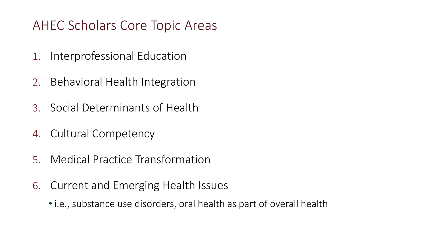### AHEC Scholars Core Topic Areas

- 1. Interprofessional Education
- 2. Behavioral Health Integration
- 3. Social Determinants of Health
- 4. Cultural Competency
- 5. Medical Practice Transformation
- 6. Current and Emerging Health Issues
	- i.e., substance use disorders, oral health as part of overall health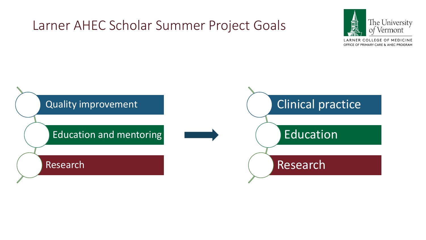### Larner AHEC Scholar Summer Project Goals



LARNER COLLEGE OF MEDICINE OFFICE OF PRIMARY CARE & AHEC PROGRAM

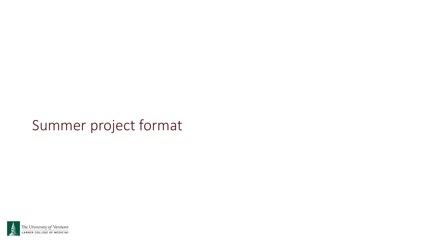## Summer project format

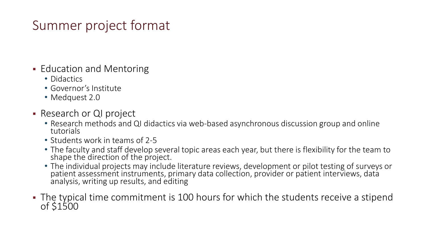### Summer project format

- **Education and Mentoring** 
	- Didactics
	- Governor's Institute
	- Medquest 2.0
- **Research or QI project** 
	- Research methods and QI didactics via web-based asynchronous discussion group and online<br>tutorials
	- Students work in teams of 2-5
	- The faculty and staff develop several topic areas each year, but there is flexibility for the team to shape the direction of the project.
	- The individual projects may include literature reviews, development or pilot testing of surveys or patient assessment instruments, primary data collection, provider or patient interviews, data analysis, writing up results, and editing
- The typical time commitment is 100 hours for which the students receive a stipend of \$1500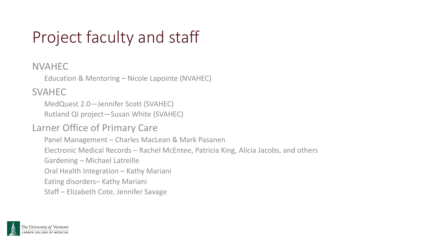# Project faculty and staff

#### NVAHEC

Education & Mentoring – Nicole Lapointe (NVAHEC)

SVAHEC

MedQuest 2.0—Jennifer Scott (SVAHEC) Rutland QI project—Susan White (SVAHEC)

#### Larner Office of Primary Care

Panel Management – Charles MacLean & Mark Pasanen

Electronic Medical Records – Rachel McEntee, Patricia King, Alicia Jacobs, and others

Gardening – Michael Latreille

Oral Health Integration – Kathy Mariani

Eating disorders– Kathy Mariani

Staff – Elizabeth Cote, Jennifer Savage

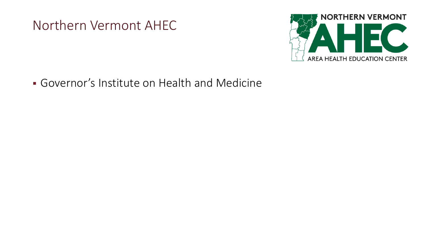Northern Vermont AHEC



Governor's Institute on Health and Medicine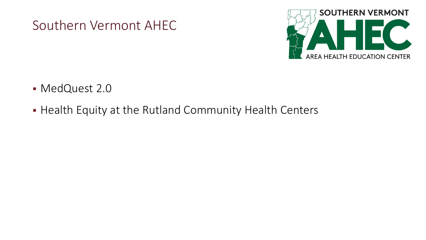



- MedQuest 2.0
- **Health Equity at the Rutland Community Health Centers**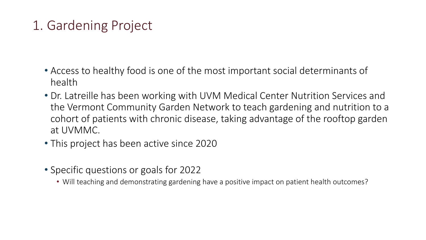### 1. Gardening Project

- Access to healthy food is one of the most important social determinants of health
- Dr. Latreille has been working with UVM Medical Center Nutrition Services and the Vermont Community Garden Network to teach gardening and nutrition to a cohort of patients with chronic disease, taking advantage of the rooftop garden at UVMMC.
- This project has been active since 2020
- Specific questions or goals for 2022
	- Will teaching and demonstrating gardening have a positive impact on patient health outcomes?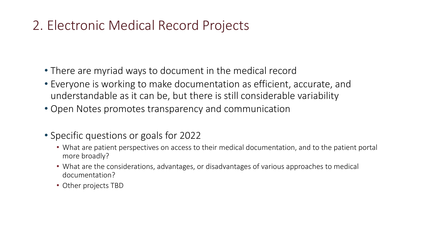### 2. Electronic Medical Record Projects

- There are myriad ways to document in the medical record
- Everyone is working to make documentation as efficient, accurate, and understandable as it can be, but there is still considerable variability
- Open Notes promotes transparency and communication
- Specific questions or goals for 2022
	- What are patient perspectives on access to their medical documentation, and to the patient portal more broadly?
	- What are the considerations, advantages, or disadvantages of various approaches to medical documentation?
	- Other projects TBD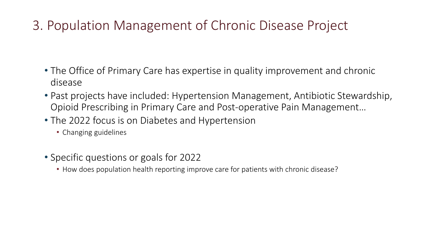### 3. Population Management of Chronic Disease Project

- The Office of Primary Care has expertise in quality improvement and chronic disease
- Past projects have included: Hypertension Management, Antibiotic Stewardship, Opioid Prescribing in Primary Care and Post-operative Pain Management…
- The 2022 focus is on Diabetes and Hypertension
	- Changing guidelines
- Specific questions or goals for 2022
	- How does population health reporting improve care for patients with chronic disease?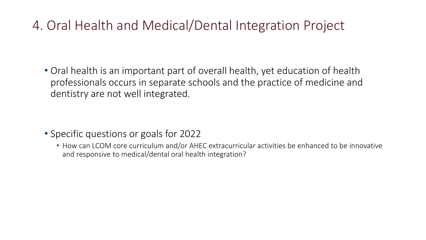### 4. Oral Health and Medical/Dental Integration Project

• Oral health is an important part of overall health, yet education of health professionals occurs in separate schools and the practice of medicine and dentistry are not well integrated.

- Specific questions or goals for 2022
	- How can LCOM core curriculum and/or AHEC extracurricular activities be enhanced to be innovative and responsive to medical/dental oral health integration?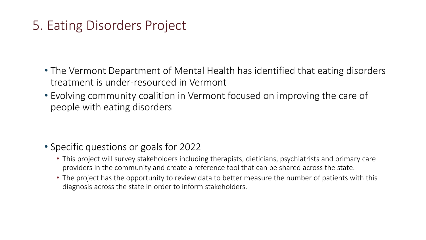### 5. Eating Disorders Project

- The Vermont Department of Mental Health has identified that eating disorders treatment is under-resourced in Vermont
- Evolving community coalition in Vermont focused on improving the care of people with eating disorders

- Specific questions or goals for 2022
	- This project will survey stakeholders including therapists, dieticians, psychiatrists and primary care providers in the community and create a reference tool that can be shared across the state.
	- The project has the opportunity to review data to better measure the number of patients with this diagnosis across the state in order to inform stakeholders.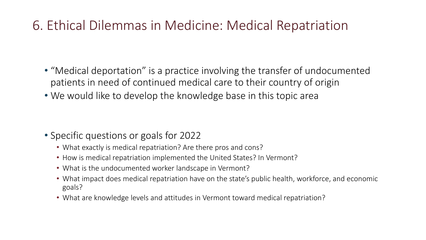### 6. Ethical Dilemmas in Medicine: Medical Repatriation

- "Medical deportation" is a practice involving the transfer of undocumented patients in need of continued medical care to their country of origin
- We would like to develop the knowledge base in this topic area

- Specific questions or goals for 2022
	- What exactly is medical repatriation? Are there pros and cons?
	- How is medical repatriation implemented the United States? In Vermont?
	- What is the undocumented worker landscape in Vermont?
	- What impact does medical repatriation have on the state's public health, workforce, and economic goals?
	- What are knowledge levels and attitudes in Vermont toward medical repatriation?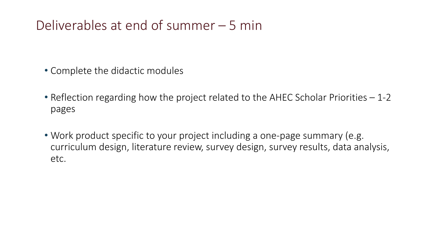### Deliverables at end of summer – 5 min

- Complete the didactic modules
- Reflection regarding how the project related to the AHEC Scholar Priorities 1-2 pages
- Work product specific to your project including a one-page summary (e.g. curriculum design, literature review, survey design, survey results, data analysis, etc.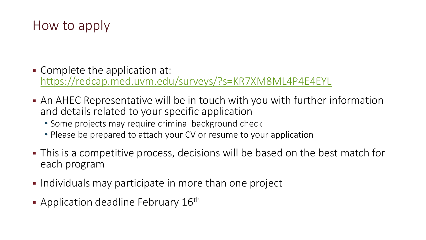### How to apply

- Complete the application at: [https://redcap.med.uvm.edu/surveys/?s=KR7XM8ML4P4E4EYL](https://nam02.safelinks.protection.outlook.com/?url=https%3A%2F%2Fredcap.med.uvm.edu%2Fsurveys%2F%3Fs%3DKR7XM8ML4P4E4EYL&data=04%7C01%7Cjennifer.savage%40med.uvm.edu%7Cebc77904e8ba483fe2ed08d9daaec581%7Ced03ff7aba9f420480a6b226316c919d%7C0%7C0%7C637781266430649217%7CUnknown%7CTWFpbGZsb3d8eyJWIjoiMC4wLjAwMDAiLCJQIjoiV2luMzIiLCJBTiI6Ik1haWwiLCJXVCI6Mn0%3D%7C3000&sdata=bni%2Bkr4xqVJvUtSBs0kgdwjtUX5WIqACiZ3hvIoSE04%3D&reserved=0)
- An AHEC Representative will be in touch with you with further information and details related to your specific application
	- Some projects may require criminal background check
	- Please be prepared to attach your CV or resume to your application
- This is a competitive process, decisions will be based on the best match for each program
- **Individuals may participate in more than one project**
- Application deadline February  $16<sup>th</sup>$